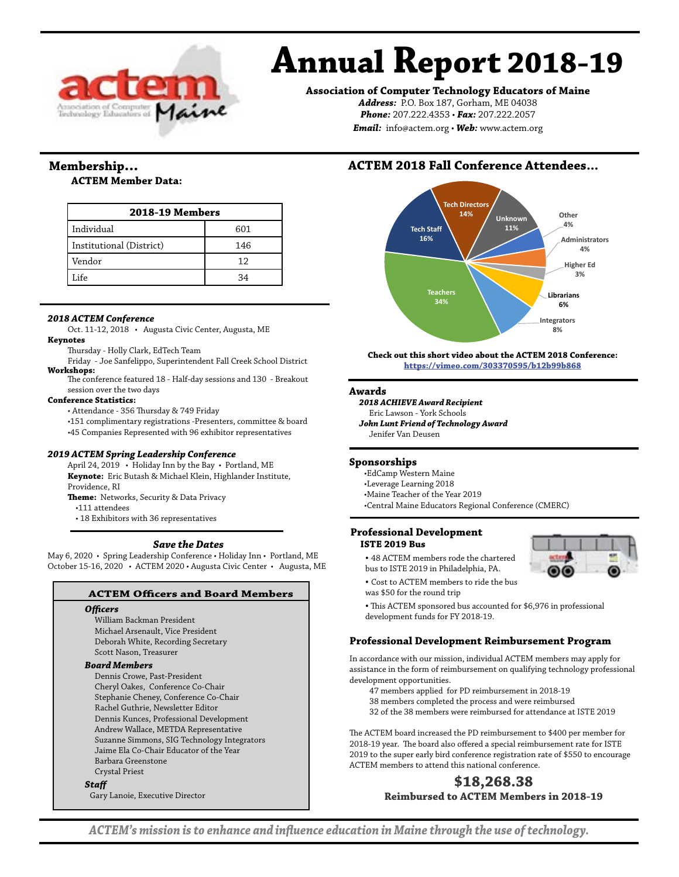

# **Annual Report 2018-19**

**Association of Computer Technology Educators of Maine**

*Address:* P.O. Box 187, Gorham, ME 04038 *Phone:* 207.222.4353 • *Fax:* 207.222.2057 *Email:* info@actem.org • *Web:* www.actem.org

# **Membership...**

## **ACTEM Member Data:**

| <b>2018-19 Members</b>   |     |  |
|--------------------------|-----|--|
| Individual               | 601 |  |
| Institutional (District) | 146 |  |
| Vendor                   | 12  |  |
| Life                     | 34  |  |

#### *2018 ACTEM Conference*

Oct. 11-12, 2018 • Augusta Civic Center, Augusta, ME

#### **Keynotes**

Thursday - Holly Clark, EdTech Team

Friday - Joe Sanfelippo, Superintendent Fall Creek School District **Workshops:**

The conference featured 18 - Half-day sessions and 130 - Breakout session over the two days

**Conference Statistics:**

• Attendance - 356 Thursday & 749 Friday

•151 complimentary registrations -Presenters, committee & board

•45 Companies Represented with 96 exhibitor representatives

#### *2019 ACTEM Spring Leadership Conference*

April 24, 2019 • Holiday Inn by the Bay • Portland, ME **Keynote:** Eric Butash & Michael Klein, Highlander Institute, Providence, RI

**Theme:** Networks, Security & Data Privacy

•111 attendees

• 18 Exhibitors with 36 representatives

#### *Save the Dates*

May 6, 2020 • Spring Leadership Conference • Holiday Inn • Portland, ME October 15-16, 2020 • ACTEM 2020 • Augusta Civic Center • Augusta, ME

#### **ACTEM Officers and Board Members**

#### *Officers*

William Backman President Michael Arsenault, Vice President Deborah White, Recording Secretary Scott Nason, Treasurer

#### *Board Members*

Dennis Crowe, Past-President Cheryl Oakes, Conference Co-Chair Stephanie Cheney, Conference Co-Chair Rachel Guthrie, Newsletter Editor Dennis Kunces, Professional Development Andrew Wallace, METDA Representative Suzanne Simmons, SIG Technology Integrators Jaime Ela Co-Chair Educator of the Year Barbara Greenstone Crystal Priest *Staff* 

Gary Lanoie, Executive Director

# **ACTEM 2018 Fall Conference Attendees...**



**Check out this short video about the ACTEM 2018 Conference: <https://vimeo.com/303370595/b12b99b868>**

#### **Awards**

*2018 ACHIEVE Award Recipient* Eric Lawson - York Schools *John Lunt Friend of Technology Award* Jenifer Van Deusen

#### **Sponsorships**

•EdCamp Western Maine

•Leverage Learning 2018

•Maine Teacher of the Year 2019

•Central Maine Educators Regional Conference (CMERC)

#### **Professional Development ISTE 2019 Bus**



- 48 ACTEM members rode the chartered bus to ISTE 2019 in Philadelphia, PA.
- Cost to ACTEM members to ride the bus was \$50 for the round trip

• This ACTEM sponsored bus accounted for \$6,976 in professional development funds for FY 2018-19.

# **Professional Development Reimbursement Program**

In accordance with our mission, individual ACTEM members may apply for assistance in the form of reimbursement on qualifying technology professional development opportunities.

- 47 members applied for PD reimbursement in 2018-19
- 38 members completed the process and were reimbursed
- 32 of the 38 members were reimbursed for attendance at ISTE 2019

The ACTEM board increased the PD reimbursement to \$400 per member for 2018-19 year. The board also offered a special reimbursement rate for ISTE 2019 to the super early bird conference registration rate of \$550 to encourage ACTEM members to attend this national conference.

# **\$18,268.38 Reimbursed to ACTEM Members in 2018-19**

*ACTEM's mission is to enhance and influence education in Maine through the use of technology.*